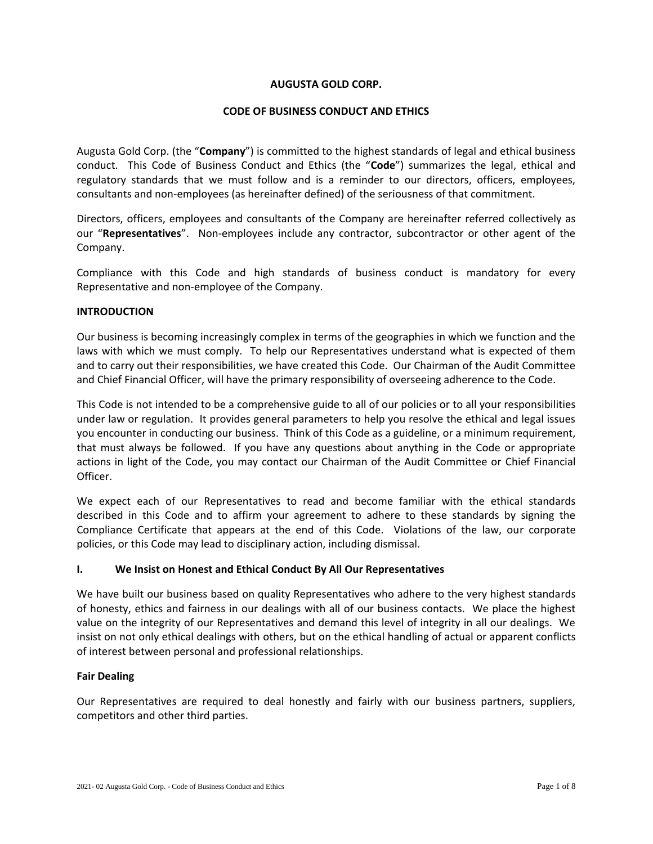### **AUGUSTA GOLD CORP.**

### **CODE OF BUSINESS CONDUCT AND ETHICS**

Augusta Gold Corp. (the "**Company**") is committed to the highest standards of legal and ethical business conduct. This Code of Business Conduct and Ethics (the "**Code**") summarizes the legal, ethical and regulatory standards that we must follow and is a reminder to our directors, officers, employees, consultants and non-employees (as hereinafter defined) of the seriousness of that commitment.

Directors, officers, employees and consultants of the Company are hereinafter referred collectively as our "**Representatives**". Non-employees include any contractor, subcontractor or other agent of the Company.

Compliance with this Code and high standards of business conduct is mandatory for every Representative and non-employee of the Company.

#### **INTRODUCTION**

Our business is becoming increasingly complex in terms of the geographies in which we function and the laws with which we must comply. To help our Representatives understand what is expected of them and to carry out their responsibilities, we have created this Code. Our Chairman of the Audit Committee and Chief Financial Officer, will have the primary responsibility of overseeing adherence to the Code.

This Code is not intended to be a comprehensive guide to all of our policies or to all your responsibilities under law or regulation. It provides general parameters to help you resolve the ethical and legal issues you encounter in conducting our business. Think of this Code as a guideline, or a minimum requirement, that must always be followed. If you have any questions about anything in the Code or appropriate actions in light of the Code, you may contact our Chairman of the Audit Committee or Chief Financial Officer.

We expect each of our Representatives to read and become familiar with the ethical standards described in this Code and to affirm your agreement to adhere to these standards by signing the Compliance Certificate that appears at the end of this Code. Violations of the law, our corporate policies, or this Code may lead to disciplinary action, including dismissal.

#### **I. We Insist on Honest and Ethical Conduct By All Our Representatives**

We have built our business based on quality Representatives who adhere to the very highest standards of honesty, ethics and fairness in our dealings with all of our business contacts. We place the highest value on the integrity of our Representatives and demand this level of integrity in all our dealings. We insist on not only ethical dealings with others, but on the ethical handling of actual or apparent conflicts of interest between personal and professional relationships.

#### **Fair Dealing**

Our Representatives are required to deal honestly and fairly with our business partners, suppliers, competitors and other third parties.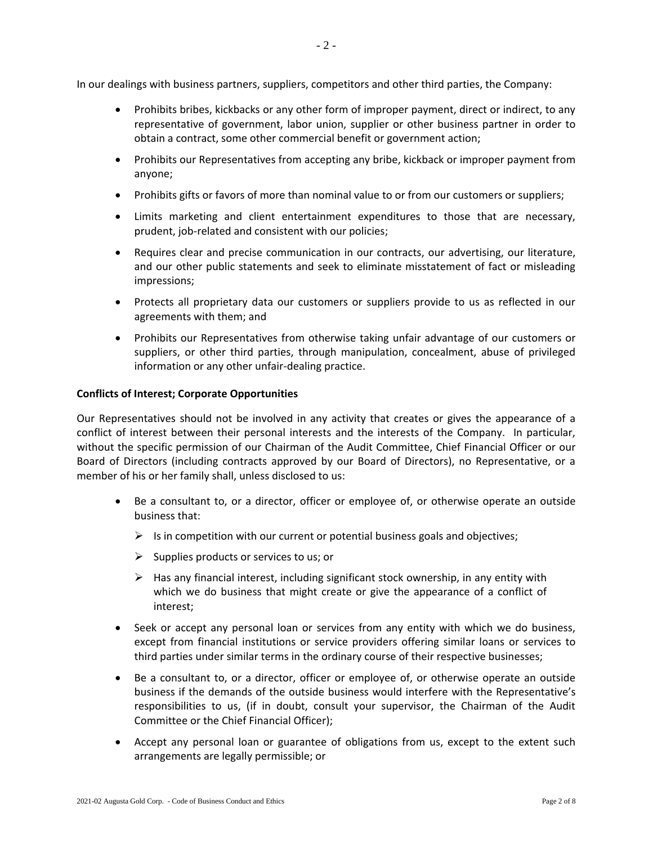In our dealings with business partners, suppliers, competitors and other third parties, the Company:

- Prohibits bribes, kickbacks or any other form of improper payment, direct or indirect, to any representative of government, labor union, supplier or other business partner in order to obtain a contract, some other commercial benefit or government action;
- Prohibits our Representatives from accepting any bribe, kickback or improper payment from anyone;
- Prohibits gifts or favors of more than nominal value to or from our customers or suppliers;
- Limits marketing and client entertainment expenditures to those that are necessary, prudent, job-related and consistent with our policies;
- Requires clear and precise communication in our contracts, our advertising, our literature, and our other public statements and seek to eliminate misstatement of fact or misleading impressions;
- Protects all proprietary data our customers or suppliers provide to us as reflected in our agreements with them; and
- Prohibits our Representatives from otherwise taking unfair advantage of our customers or suppliers, or other third parties, through manipulation, concealment, abuse of privileged information or any other unfair-dealing practice.

### **Conflicts of Interest; Corporate Opportunities**

Our Representatives should not be involved in any activity that creates or gives the appearance of a conflict of interest between their personal interests and the interests of the Company. In particular, without the specific permission of our Chairman of the Audit Committee, Chief Financial Officer or our Board of Directors (including contracts approved by our Board of Directors), no Representative, or a member of his or her family shall, unless disclosed to us:

- Be a consultant to, or a director, officer or employee of, or otherwise operate an outside business that:
	- $\triangleright$  Is in competition with our current or potential business goals and objectives;
	- $\triangleright$  Supplies products or services to us; or
	- $\triangleright$  Has any financial interest, including significant stock ownership, in any entity with which we do business that might create or give the appearance of a conflict of interest;
- Seek or accept any personal loan or services from any entity with which we do business, except from financial institutions or service providers offering similar loans or services to third parties under similar terms in the ordinary course of their respective businesses;
- Be a consultant to, or a director, officer or employee of, or otherwise operate an outside business if the demands of the outside business would interfere with the Representative's responsibilities to us, (if in doubt, consult your supervisor, the Chairman of the Audit Committee or the Chief Financial Officer);
- Accept any personal loan or guarantee of obligations from us, except to the extent such arrangements are legally permissible; or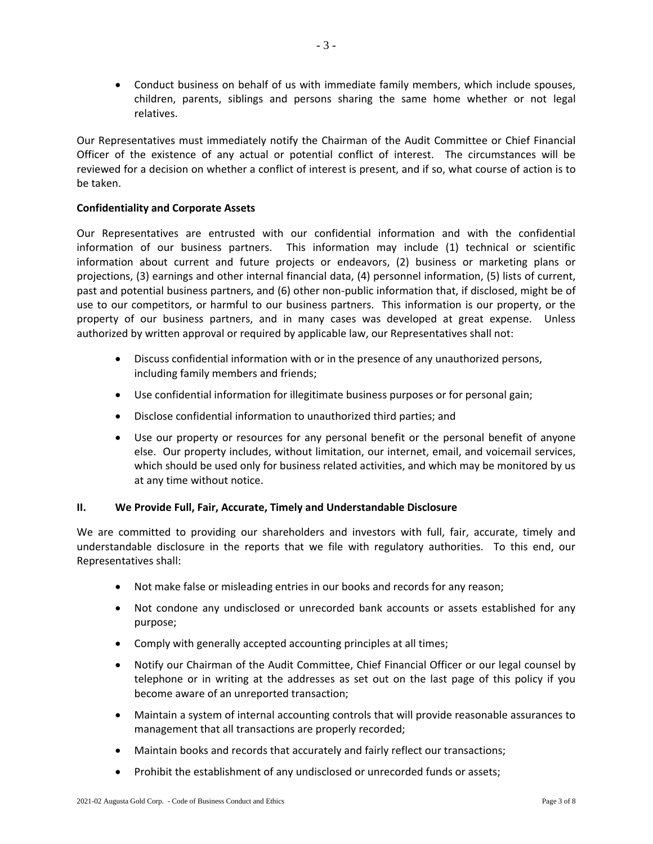Conduct business on behalf of us with immediate family members, which include spouses, children, parents, siblings and persons sharing the same home whether or not legal relatives.

Our Representatives must immediately notify the Chairman of the Audit Committee or Chief Financial Officer of the existence of any actual or potential conflict of interest. The circumstances will be reviewed for a decision on whether a conflict of interest is present, and if so, what course of action is to be taken.

## **Confidentiality and Corporate Assets**

Our Representatives are entrusted with our confidential information and with the confidential information of our business partners. This information may include (1) technical or scientific information about current and future projects or endeavors, (2) business or marketing plans or projections, (3) earnings and other internal financial data, (4) personnel information, (5) lists of current, past and potential business partners, and (6) other non-public information that, if disclosed, might be of use to our competitors, or harmful to our business partners. This information is our property, or the property of our business partners, and in many cases was developed at great expense. Unless authorized by written approval or required by applicable law, our Representatives shall not:

- Discuss confidential information with or in the presence of any unauthorized persons, including family members and friends;
- Use confidential information for illegitimate business purposes or for personal gain;
- Disclose confidential information to unauthorized third parties; and
- Use our property or resources for any personal benefit or the personal benefit of anyone else. Our property includes, without limitation, our internet, email, and voicemail services, which should be used only for business related activities, and which may be monitored by us at any time without notice.

## **II. We Provide Full, Fair, Accurate, Timely and Understandable Disclosure**

We are committed to providing our shareholders and investors with full, fair, accurate, timely and understandable disclosure in the reports that we file with regulatory authorities. To this end, our Representatives shall:

- Not make false or misleading entries in our books and records for any reason;
- Not condone any undisclosed or unrecorded bank accounts or assets established for any purpose;
- Comply with generally accepted accounting principles at all times;
- Notify our Chairman of the Audit Committee, Chief Financial Officer or our legal counsel by telephone or in writing at the addresses as set out on the last page of this policy if you become aware of an unreported transaction;
- Maintain a system of internal accounting controls that will provide reasonable assurances to management that all transactions are properly recorded;
- Maintain books and records that accurately and fairly reflect our transactions;
- Prohibit the establishment of any undisclosed or unrecorded funds or assets;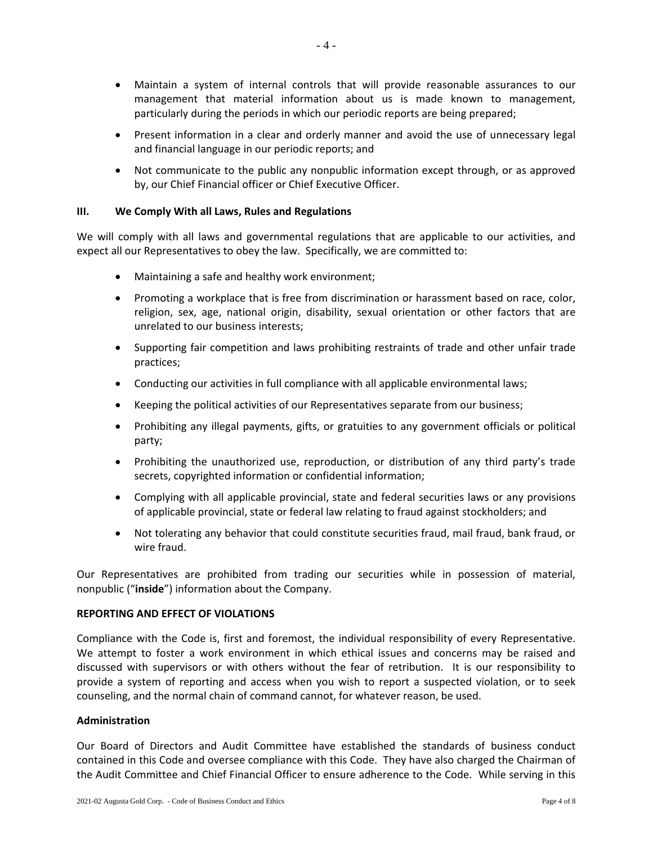- Maintain a system of internal controls that will provide reasonable assurances to our management that material information about us is made known to management, particularly during the periods in which our periodic reports are being prepared;
- Present information in a clear and orderly manner and avoid the use of unnecessary legal and financial language in our periodic reports; and
- Not communicate to the public any nonpublic information except through, or as approved by, our Chief Financial officer or Chief Executive Officer.

## **III. We Comply With all Laws, Rules and Regulations**

We will comply with all laws and governmental regulations that are applicable to our activities, and expect all our Representatives to obey the law. Specifically, we are committed to:

- Maintaining a safe and healthy work environment;
- Promoting a workplace that is free from discrimination or harassment based on race, color, religion, sex, age, national origin, disability, sexual orientation or other factors that are unrelated to our business interests;
- Supporting fair competition and laws prohibiting restraints of trade and other unfair trade practices;
- Conducting our activities in full compliance with all applicable environmental laws;
- Keeping the political activities of our Representatives separate from our business;
- Prohibiting any illegal payments, gifts, or gratuities to any government officials or political party;
- Prohibiting the unauthorized use, reproduction, or distribution of any third party's trade secrets, copyrighted information or confidential information;
- Complying with all applicable provincial, state and federal securities laws or any provisions of applicable provincial, state or federal law relating to fraud against stockholders; and
- Not tolerating any behavior that could constitute securities fraud, mail fraud, bank fraud, or wire fraud.

Our Representatives are prohibited from trading our securities while in possession of material, nonpublic ("**inside**") information about the Company.

#### **REPORTING AND EFFECT OF VIOLATIONS**

Compliance with the Code is, first and foremost, the individual responsibility of every Representative. We attempt to foster a work environment in which ethical issues and concerns may be raised and discussed with supervisors or with others without the fear of retribution. It is our responsibility to provide a system of reporting and access when you wish to report a suspected violation, or to seek counseling, and the normal chain of command cannot, for whatever reason, be used.

## **Administration**

Our Board of Directors and Audit Committee have established the standards of business conduct contained in this Code and oversee compliance with this Code. They have also charged the Chairman of the Audit Committee and Chief Financial Officer to ensure adherence to the Code. While serving in this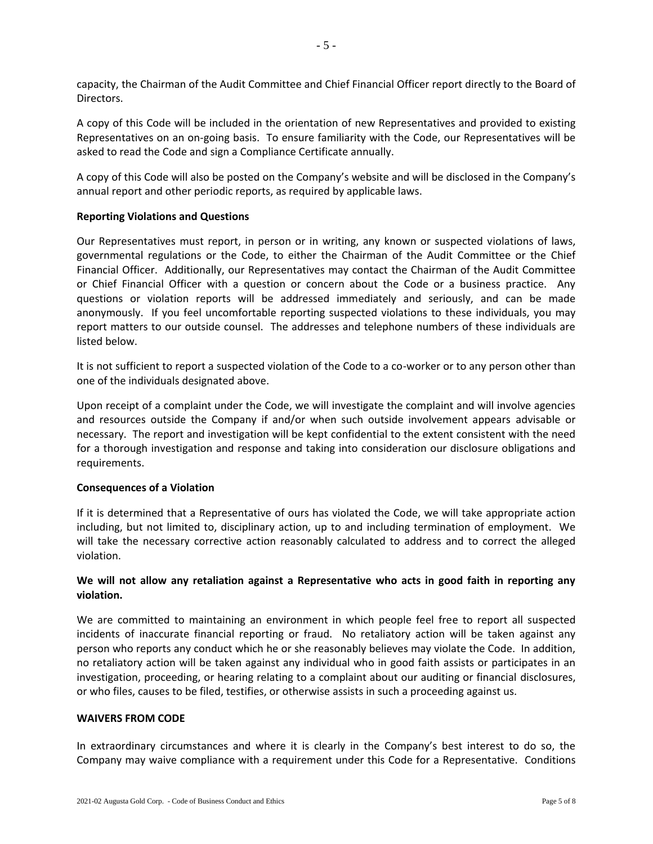A copy of this Code will be included in the orientation of new Representatives and provided to existing Representatives on an on-going basis. To ensure familiarity with the Code, our Representatives will be asked to read the Code and sign a Compliance Certificate annually.

A copy of this Code will also be posted on the Company's website and will be disclosed in the Company's annual report and other periodic reports, as required by applicable laws.

# **Reporting Violations and Questions**

Our Representatives must report, in person or in writing, any known or suspected violations of laws, governmental regulations or the Code, to either the Chairman of the Audit Committee or the Chief Financial Officer. Additionally, our Representatives may contact the Chairman of the Audit Committee or Chief Financial Officer with a question or concern about the Code or a business practice. Any questions or violation reports will be addressed immediately and seriously, and can be made anonymously. If you feel uncomfortable reporting suspected violations to these individuals, you may report matters to our outside counsel. The addresses and telephone numbers of these individuals are listed below.

It is not sufficient to report a suspected violation of the Code to a co-worker or to any person other than one of the individuals designated above.

Upon receipt of a complaint under the Code, we will investigate the complaint and will involve agencies and resources outside the Company if and/or when such outside involvement appears advisable or necessary. The report and investigation will be kept confidential to the extent consistent with the need for a thorough investigation and response and taking into consideration our disclosure obligations and requirements.

## **Consequences of a Violation**

If it is determined that a Representative of ours has violated the Code, we will take appropriate action including, but not limited to, disciplinary action, up to and including termination of employment. We will take the necessary corrective action reasonably calculated to address and to correct the alleged violation.

# **We will not allow any retaliation against a Representative who acts in good faith in reporting any violation.**

We are committed to maintaining an environment in which people feel free to report all suspected incidents of inaccurate financial reporting or fraud. No retaliatory action will be taken against any person who reports any conduct which he or she reasonably believes may violate the Code. In addition, no retaliatory action will be taken against any individual who in good faith assists or participates in an investigation, proceeding, or hearing relating to a complaint about our auditing or financial disclosures, or who files, causes to be filed, testifies, or otherwise assists in such a proceeding against us.

## **WAIVERS FROM CODE**

In extraordinary circumstances and where it is clearly in the Company's best interest to do so, the Company may waive compliance with a requirement under this Code for a Representative. Conditions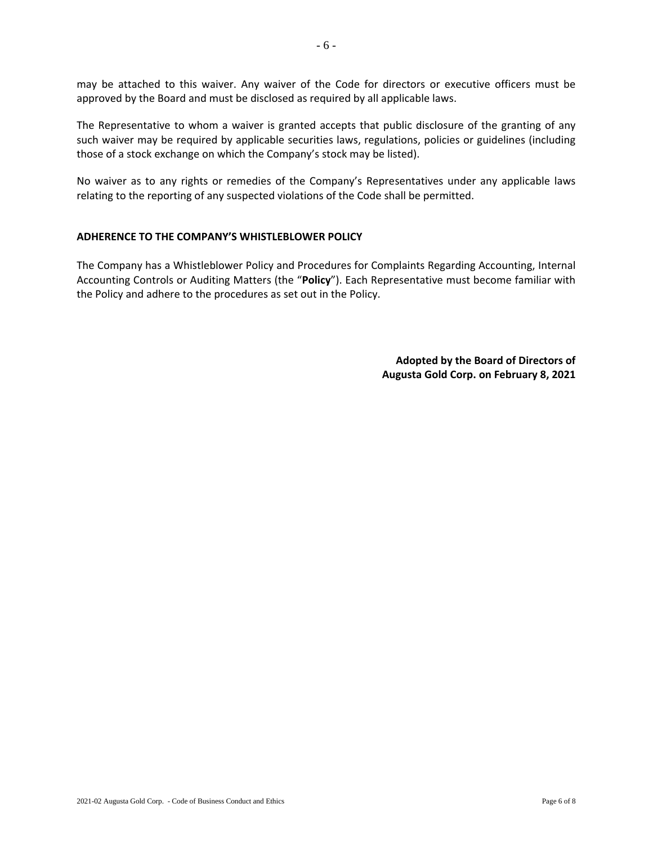may be attached to this waiver. Any waiver of the Code for directors or executive officers must be approved by the Board and must be disclosed as required by all applicable laws.

The Representative to whom a waiver is granted accepts that public disclosure of the granting of any such waiver may be required by applicable securities laws, regulations, policies or guidelines (including those of a stock exchange on which the Company's stock may be listed).

No waiver as to any rights or remedies of the Company's Representatives under any applicable laws relating to the reporting of any suspected violations of the Code shall be permitted.

### **ADHERENCE TO THE COMPANY'S WHISTLEBLOWER POLICY**

The Company has a Whistleblower Policy and Procedures for Complaints Regarding Accounting, Internal Accounting Controls or Auditing Matters (the "**Policy**"). Each Representative must become familiar with the Policy and adhere to the procedures as set out in the Policy.

> **Adopted by the Board of Directors of Augusta Gold Corp. on February 8, 2021**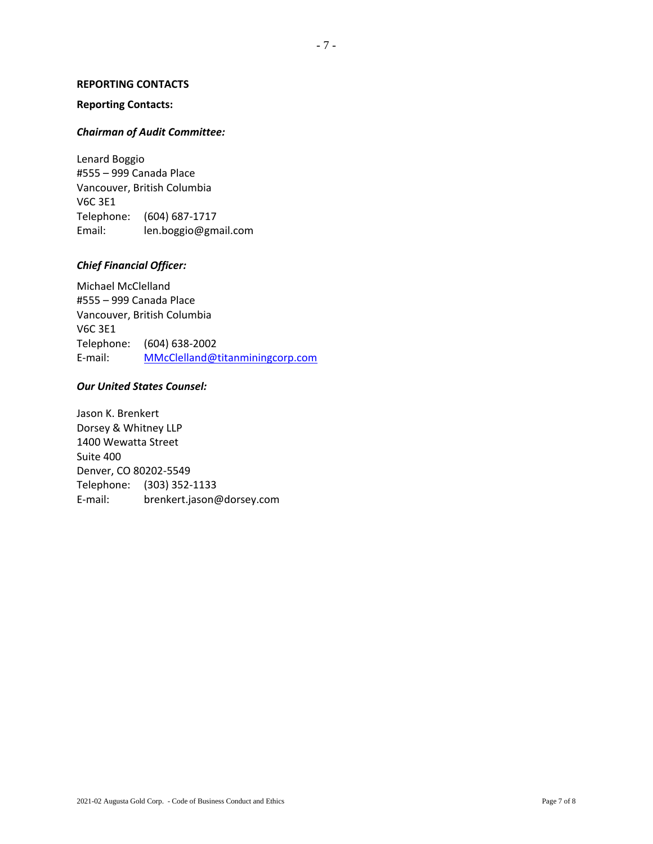## **REPORTING CONTACTS**

## **Reporting Contacts:**

## *Chairman of Audit Committee:*

Lenard Boggio #555 – 999 Canada Place Vancouver, British Columbia V6C 3E1 Telephone: (604) 687-1717 Email: len.boggio@gmail.com

## *Chief Financial Officer:*

Michael McClelland #555 – 999 Canada Place Vancouver, British Columbia V6C 3E1 Telephone: (604) 638-2002 E-mail: [MMcClelland@titanminingcorp.com](mailto:MMcClelland@titanminingcorp.com)

## *Our United States Counsel:*

Jason K. Brenkert Dorsey & Whitney LLP 1400 Wewatta Street Suite 400 Denver, CO 80202-5549 Telephone: (303) 352-1133 E-mail: brenkert.jason@dorsey.com